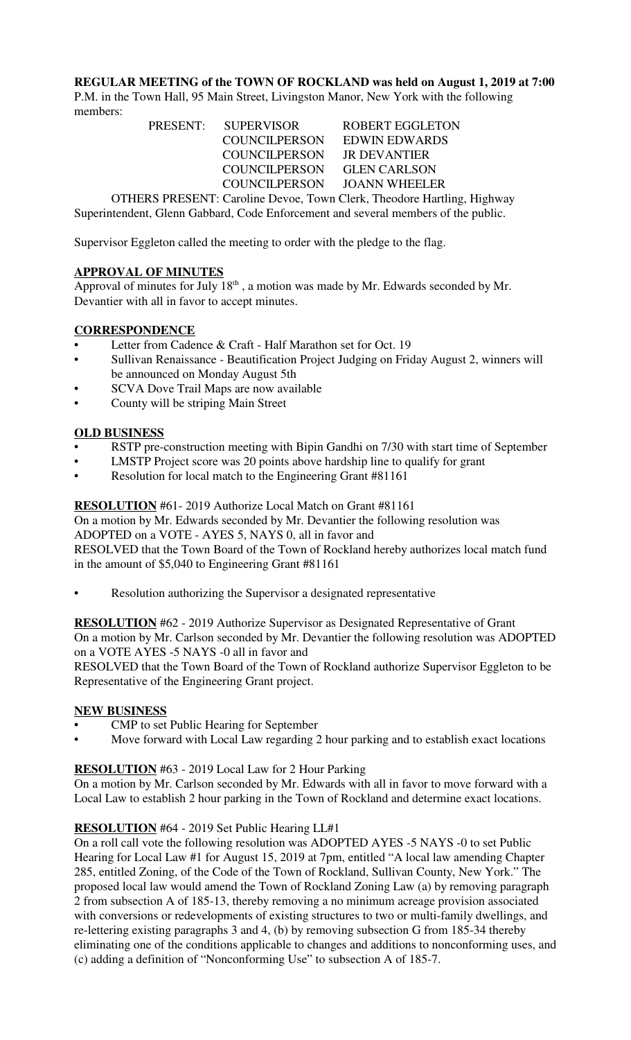**REGULAR MEETING of the TOWN OF ROCKLAND was held on August 1, 2019 at 7:00** P.M. in the Town Hall, 95 Main Street, Livingston Manor, New York with the following members:

PRESENT: SUPERVISOR ROBERT EGGLETON COUNCILPERSON EDWIN EDWARDS COUNCILPERSON COUNCILPERSON JR DEVANTIER COUNCILPERSON GLEN CARLSON COUNCILPERSON JOANN WHEELER OTHERS PRESENT: Caroline Devoe, Town Clerk, Theodore Hartling, Highway Superintendent, Glenn Gabbard, Code Enforcement and several members of the public.

Supervisor Eggleton called the meeting to order with the pledge to the flag.

## **APPROVAL OF MINUTES**

Approval of minutes for July  $18<sup>th</sup>$ , a motion was made by Mr. Edwards seconded by Mr. Devantier with all in favor to accept minutes.

## **CORRESPONDENCE**

- Letter from Cadence & Craft Half Marathon set for Oct. 19
- Sullivan Renaissance Beautification Project Judging on Friday August 2, winners will be announced on Monday August 5th
- SCVA Dove Trail Maps are now available
- County will be striping Main Street

## **OLD BUSINESS**

- RSTP pre-construction meeting with Bipin Gandhi on 7/30 with start time of September
- LMSTP Project score was 20 points above hardship line to qualify for grant
- Resolution for local match to the Engineering Grant #81161

**RESOLUTION** #61- 2019 Authorize Local Match on Grant #81161

On a motion by Mr. Edwards seconded by Mr. Devantier the following resolution was ADOPTED on a VOTE - AYES 5, NAYS 0, all in favor and

RESOLVED that the Town Board of the Town of Rockland hereby authorizes local match fund in the amount of \$5,040 to Engineering Grant #81161

Resolution authorizing the Supervisor a designated representative

**RESOLUTION** #62 - 2019 Authorize Supervisor as Designated Representative of Grant On a motion by Mr. Carlson seconded by Mr. Devantier the following resolution was ADOPTED on a VOTE AYES -5 NAYS -0 all in favor and

RESOLVED that the Town Board of the Town of Rockland authorize Supervisor Eggleton to be Representative of the Engineering Grant project.

### **NEW BUSINESS**

- CMP to set Public Hearing for September
- Move forward with Local Law regarding 2 hour parking and to establish exact locations

### **RESOLUTION** #63 - 2019 Local Law for 2 Hour Parking

On a motion by Mr. Carlson seconded by Mr. Edwards with all in favor to move forward with a Local Law to establish 2 hour parking in the Town of Rockland and determine exact locations.

# **RESOLUTION** #64 - 2019 Set Public Hearing LL#1

On a roll call vote the following resolution was ADOPTED AYES -5 NAYS -0 to set Public Hearing for Local Law #1 for August 15, 2019 at 7pm, entitled "A local law amending Chapter 285, entitled Zoning, of the Code of the Town of Rockland, Sullivan County, New York." The proposed local law would amend the Town of Rockland Zoning Law (a) by removing paragraph 2 from subsection A of 185-13, thereby removing a no minimum acreage provision associated with conversions or redevelopments of existing structures to two or multi-family dwellings, and re-lettering existing paragraphs 3 and 4, (b) by removing subsection G from 185-34 thereby eliminating one of the conditions applicable to changes and additions to nonconforming uses, and (c) adding a definition of "Nonconforming Use" to subsection A of 185-7.